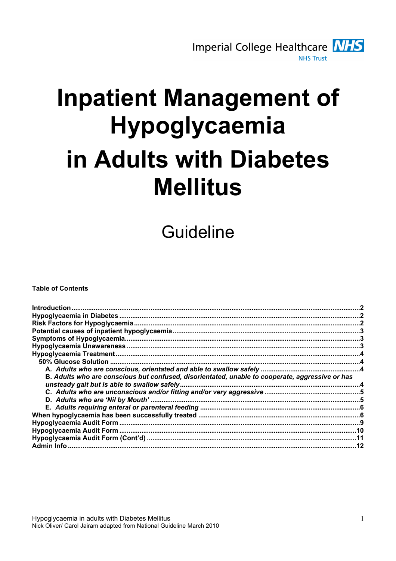

# **Inpatient Management of** Hypoglycaemia in Adults with Diabetes **Mellitus**

Guideline

**Table of Contents** 

| Introduction                                                                                    |  |
|-------------------------------------------------------------------------------------------------|--|
|                                                                                                 |  |
|                                                                                                 |  |
|                                                                                                 |  |
|                                                                                                 |  |
|                                                                                                 |  |
|                                                                                                 |  |
|                                                                                                 |  |
|                                                                                                 |  |
| B. Adults who are conscious but confused, disorientated, unable to cooperate, aggressive or has |  |
|                                                                                                 |  |
|                                                                                                 |  |
|                                                                                                 |  |
|                                                                                                 |  |
|                                                                                                 |  |
|                                                                                                 |  |
|                                                                                                 |  |
|                                                                                                 |  |
| Admin Info                                                                                      |  |
|                                                                                                 |  |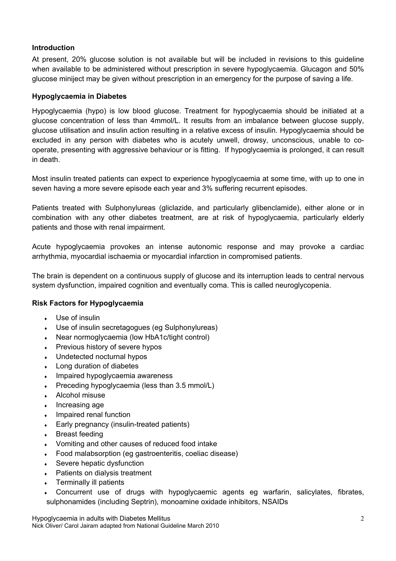# Introduction

At present, 20% glucose solution is not available but will be included in revisions to this guideline when available to be administered without prescription in severe hypoglycaemia. Glucagon and 50% glucose miniject may be given without prescription in an emergency for the purpose of saving a life.

#### Hypoglycaemia in Diabetes

Hypoglycaemia (hypo) is low blood glucose. Treatment for hypoglycaemia should be initiated at a glucose concentration of less than 4mmol/L. It results from an imbalance between glucose supply, glucose utilisation and insulin action resulting in a relative excess of insulin. Hypoglycaemia should be excluded in any person with diabetes who is acutely unwell, drowsy, unconscious, unable to cooperate, presenting with aggressive behaviour or is fitting. If hypoglycaemia is prolonged, it can result in death.

Most insulin treated patients can expect to experience hypoglycaemia at some time, with up to one in seven having a more severe episode each year and 3% suffering recurrent episodes.

Patients treated with Sulphonylureas (gliclazide, and particularly glibenclamide), either alone or in combination with any other diabetes treatment, are at risk of hypoglycaemia, particularly elderly patients and those with renal impairment.

Acute hypoglycaemia provokes an intense autonomic response and may provoke a cardiac arrhythmia, myocardial ischaemia or myocardial infarction in compromised patients.

The brain is dependent on a continuous supply of glucose and its interruption leads to central nervous system dysfunction, impaired cognition and eventually coma. This is called neuroglycopenia.

# Risk Factors for Hypoglycaemia

- Use of insulin
- Use of insulin secretagogues (eg Sulphonylureas)
- Near normoglycaemia (low HbA1c/tight control)
- Previous history of severe hypos
- Undetected nocturnal hypos
- Long duration of diabetes
- Impaired hypoglycaemia awareness
- Preceding hypoglycaemia (less than 3.5 mmol/L)
- Alcohol misuse
- Increasing age
- Impaired renal function
- Early pregnancy (insulin-treated patients)
- **Breast feeding**
- Vomiting and other causes of reduced food intake
- ♦ Food malabsorption (eg gastroenteritis, coeliac disease)
- Severe hepatic dysfunction
- Patients on dialysis treatment
- Terminally ill patients
- Concurrent use of drugs with hypoglycaemic agents eg warfarin, salicylates, fibrates, sulphonamides (including Septrin), monoamine oxidade inhibitors, NSAIDs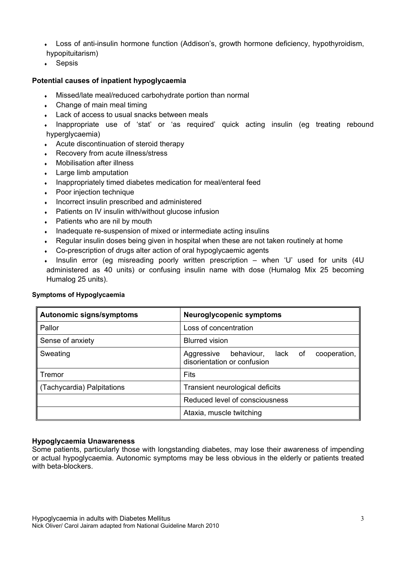• Loss of anti-insulin hormone function (Addison's, growth hormone deficiency, hypothyroidism, hypopituitarism)

 $\cdot$  Sepsis

#### Potential causes of inpatient hypoglycaemia

- Missed/late meal/reduced carbohydrate portion than normal
- $\leftarrow$  Change of main meal timing
- Lack of access to usual snacks between meals

Inappropriate use of 'stat' or 'as required' quick acting insulin (eg treating rebound hyperglycaemia)

- Acute discontinuation of steroid therapy
- Recovery from acute illness/stress
- **Mobilisation after illness**
- **Large limb amputation**
- Inappropriately timed diabetes medication for meal/enteral feed
- Poor injection technique
- Incorrect insulin prescribed and administered
- Patients on IV insulin with/without glucose infusion
- Patients who are nil by mouth
- Inadequate re-suspension of mixed or intermediate acting insulins
- Regular insulin doses being given in hospital when these are not taken routinely at home
- Co-prescription of drugs alter action of oral hypoglycaemic agents
- Insulin error (eg misreading poorly written prescription when 'U' used for units (4U) administered as 40 units) or confusing insulin name with dose (Humalog Mix 25 becoming Humalog 25 units).

| <b>Autonomic signs/symptoms</b> | <b>Neuroglycopenic symptoms</b>                                                 |
|---------------------------------|---------------------------------------------------------------------------------|
| Pallor                          | Loss of concentration                                                           |
| Sense of anxiety                | <b>Blurred vision</b>                                                           |
| Sweating                        | behaviour, lack of<br>cooperation,<br>Aggressive<br>disorientation or confusion |
| Tremor                          | Fits                                                                            |
| ∥ (Tachycardia) Palpitations    | Transient neurological deficits                                                 |
|                                 | Reduced level of consciousness                                                  |
|                                 | Ataxia, muscle twitching                                                        |

#### Symptoms of Hypoglycaemia

#### Hypoglycaemia Unawareness

Some patients, particularly those with longstanding diabetes, may lose their awareness of impending or actual hypoglycaemia. Autonomic symptoms may be less obvious in the elderly or patients treated with beta-blockers.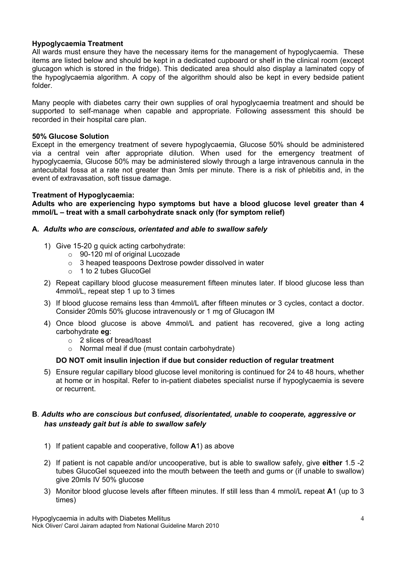#### Hypoglycaemia Treatment

All wards must ensure they have the necessary items for the management of hypoglycaemia. These items are listed below and should be kept in a dedicated cupboard or shelf in the clinical room (except glucagon which is stored in the fridge). This dedicated area should also display a laminated copy of the hypoglycaemia algorithm. A copy of the algorithm should also be kept in every bedside patient folder.

Many people with diabetes carry their own supplies of oral hypoglycaemia treatment and should be supported to self-manage when capable and appropriate. Following assessment this should be recorded in their hospital care plan.

#### 50% Glucose Solution

Except in the emergency treatment of severe hypoglycaemia, Glucose 50% should be administered via a central vein after appropriate dilution. When used for the emergency treatment of hypoglycaemia, Glucose 50% may be administered slowly through a large intravenous cannula in the antecubital fossa at a rate not greater than 3mls per minute. There is a risk of phlebitis and, in the event of extravasation, soft tissue damage.

#### Treatment of Hypoglycaemia:

Adults who are experiencing hypo symptoms but have a blood glucose level greater than 4 mmol/L – treat with a small carbohydrate snack only (for symptom relief)

#### A. Adults who are conscious, orientated and able to swallow safely

- 1) Give 15-20 g quick acting carbohydrate:
	- o 90-120 ml of original Lucozade
	- o 3 heaped teaspoons Dextrose powder dissolved in water
	- o 1 to 2 tubes GlucoGel
- 2) Repeat capillary blood glucose measurement fifteen minutes later. If blood glucose less than 4mmol/L, repeat step 1 up to 3 times
- 3) If blood glucose remains less than 4mmol/L after fifteen minutes or 3 cycles, contact a doctor. Consider 20mls 50% glucose intravenously or 1 mg of Glucagon IM
- 4) Once blood glucose is above 4mmol/L and patient has recovered, give a long acting carbohydrate eg:
	- o 2 slices of bread/toast
	- o Normal meal if due (must contain carbohydrate)

#### DO NOT omit insulin injection if due but consider reduction of regular treatment

5) Ensure regular capillary blood glucose level monitoring is continued for 24 to 48 hours, whether at home or in hospital. Refer to in-patient diabetes specialist nurse if hypoglycaemia is severe or recurrent.

#### B. Adults who are conscious but confused, disorientated, unable to cooperate, aggressive or has unsteady gait but is able to swallow safely

- 1) If patient capable and cooperative, follow A1) as above
- 2) If patient is not capable and/or uncooperative, but is able to swallow safely, give either 1.5 -2 tubes GlucoGel squeezed into the mouth between the teeth and gums or (if unable to swallow) give 20mls IV 50% glucose
- 3) Monitor blood glucose levels after fifteen minutes. If still less than 4 mmol/L repeat A1 (up to 3 times)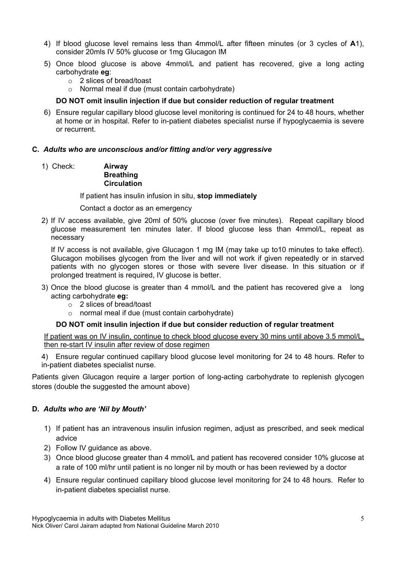- 4) If blood glucose level remains less than 4mmol/L after fifteen minutes (or 3 cycles of A1), consider 20mls IV 50% glucose or 1mg Glucagon IM
- 5) Once blood glucose is above 4mmol/L and patient has recovered, give a long acting carbohydrate eg:
	- o 2 slices of bread/toast
	- o Normal meal if due (must contain carbohydrate)

# DO NOT omit insulin injection if due but consider reduction of regular treatment

6) Ensure regular capillary blood glucose level monitoring is continued for 24 to 48 hours, whether at home or in hospital. Refer to in-patient diabetes specialist nurse if hypoglycaemia is severe or recurrent.

#### C. Adults who are unconscious and/or fitting and/or very aggressive

1) Check: Airway

#### **Breathing Circulation**

If patient has insulin infusion in situ, stop immediately

#### Contact a doctor as an emergency

2) If IV access available, give 20ml of 50% glucose (over five minutes). Repeat capillary blood glucose measurement ten minutes later. If blood glucose less than 4mmol/L, repeat as necessary

If IV access is not available, give Glucagon 1 mg IM (may take up to10 minutes to take effect). Glucagon mobilises glycogen from the liver and will not work if given repeatedly or in starved patients with no glycogen stores or those with severe liver disease. In this situation or if prolonged treatment is required, IV glucose is better.

- 3) Once the blood glucose is greater than 4 mmol/L and the patient has recovered give a long acting carbohydrate eg:
	- o 2 slices of bread/toast
	- o normal meal if due (must contain carbohydrate)

# DO NOT omit insulin injection if due but consider reduction of regular treatment

If patient was on IV insulin, continue to check blood glucose every 30 mins until above 3.5 mmol/L, then re-start IV insulin after review of dose regimen

4) Ensure regular continued capillary blood glucose level monitoring for 24 to 48 hours. Refer to in-patient diabetes specialist nurse.

Patients given Glucagon require a larger portion of long-acting carbohydrate to replenish glycogen stores (double the suggested the amount above)

#### D. Adults who are 'Nil by Mouth'

- 1) If patient has an intravenous insulin infusion regimen, adjust as prescribed, and seek medical advice
- 2) Follow IV guidance as above.
- 3) Once blood glucose greater than 4 mmol/L and patient has recovered consider 10% glucose at a rate of 100 ml/hr until patient is no longer nil by mouth or has been reviewed by a doctor
- 4) Ensure regular continued capillary blood glucose level monitoring for 24 to 48 hours. Refer to in-patient diabetes specialist nurse.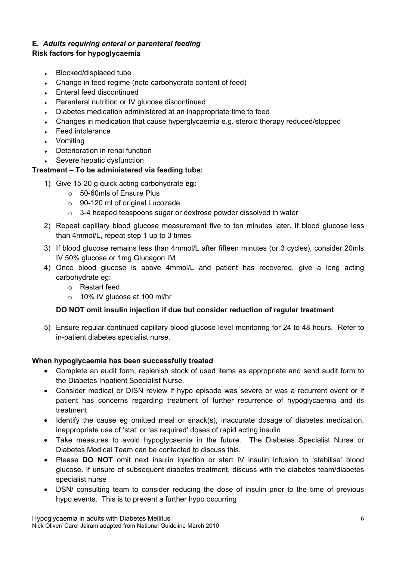# E. Adults requiring enteral or parenteral feeding

# Risk factors for hypoglycaemia

- Blocked/displaced tube
- Change in feed regime (note carbohydrate content of feed)
- Enteral feed discontinued
- **Parenteral nutrition or IV glucose discontinued**
- Diabetes medication administered at an inappropriate time to feed
- Changes in medication that cause hyperglycaemia e.g. steroid therapy reduced/stopped
- **Feed intolerance**
- Vomiting
- $\cdot$  Deterioration in renal function
- Severe hepatic dysfunction

# Treatment – To be administered via feeding tube:

- 1) Give 15-20 g quick acting carbohydrate eg:
	- o 50-60mls of Ensure Plus
	- o 90-120 ml of original Lucozade
	- $\circ$  3-4 heaped teaspoons sugar or dextrose powder dissolved in water
- 2) Repeat capillary blood glucose measurement five to ten minutes later. If blood glucose less than 4mmol/L, repeat step 1 up to 3 times
- 3) If blood glucose remains less than 4mmol/L after fifteen minutes (or 3 cycles), consider 20mls IV 50% glucose or 1mg Glucagon IM
- 4) Once blood glucose is above 4mmol/L and patient has recovered, give a long acting carbohydrate eg:
	- o Restart feed
	- o 10% IV glucose at 100 ml/hr

# DO NOT omit insulin injection if due but consider reduction of regular treatment

5) Ensure regular continued capillary blood glucose level monitoring for 24 to 48 hours. Refer to in-patient diabetes specialist nurse.

# When hypoglycaemia has been successfully treated

- Complete an audit form, replenish stock of used items as appropriate and send audit form to the Diabetes Inpatient Specialist Nurse.
- Consider medical or DISN review if hypo episode was severe or was a recurrent event or if patient has concerns regarding treatment of further recurrence of hypoglycaemia and its treatment
- Identify the cause eg omitted meal or snack(s), inaccurate dosage of diabetes medication, inappropriate use of 'stat' or 'as required' doses of rapid acting insulin
- Take measures to avoid hypoglycaemia in the future. The Diabetes Specialist Nurse or Diabetes Medical Team can be contacted to discuss this.
- Please DO NOT omit next insulin injection or start IV insulin infusion to 'stabilise' blood glucose. If unsure of subsequent diabetes treatment, discuss with the diabetes team/diabetes specialist nurse
- DSN/ consulting team to consider reducing the dose of insulin prior to the time of previous hypo events. This is to prevent a further hypo occurring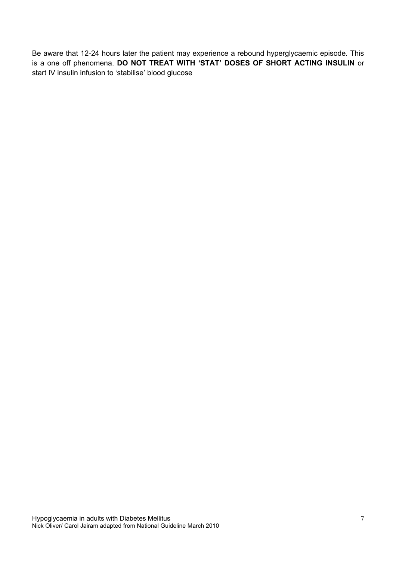Be aware that 12-24 hours later the patient may experience a rebound hyperglycaemic episode. This is a one off phenomena. DO NOT TREAT WITH 'STAT' DOSES OF SHORT ACTING INSULIN or start IV insulin infusion to 'stabilise' blood glucose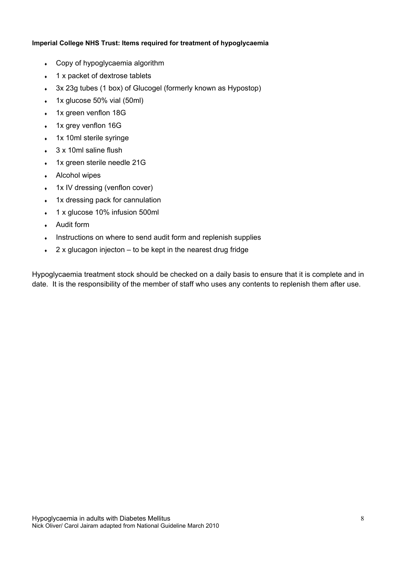#### Imperial College NHS Trust: Items required for treatment of hypoglycaemia

- Copy of hypoglycaemia algorithm
- 1 x packet of dextrose tablets
- 3x 23g tubes (1 box) of Glucogel (formerly known as Hypostop)
- $\cdot$  1x glucose 50% vial (50ml)
- 1x green venflon 18G
- 1x grey venflon 16G
- 1x 10ml sterile syringe
- 3 x 10ml saline flush
- 1x green sterile needle 21G
- $\cdot$  Alcohol wipes
- 1x IV dressing (venflon cover)
- 1x dressing pack for cannulation
- 1 x glucose 10% infusion 500ml
- Audit form
- Instructions on where to send audit form and replenish supplies
- $\cdot$  2 x glucagon injecton to be kept in the nearest drug fridge

Hypoglycaemia treatment stock should be checked on a daily basis to ensure that it is complete and in date. It is the responsibility of the member of staff who uses any contents to replenish them after use.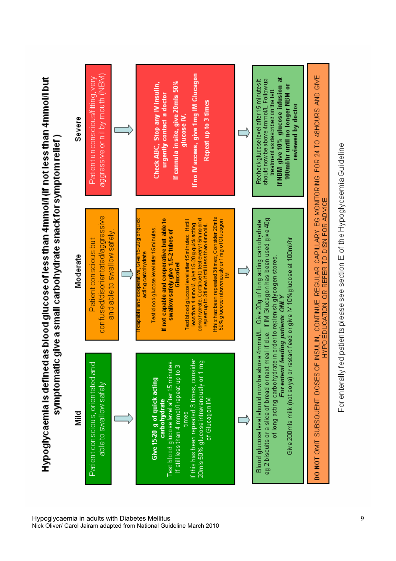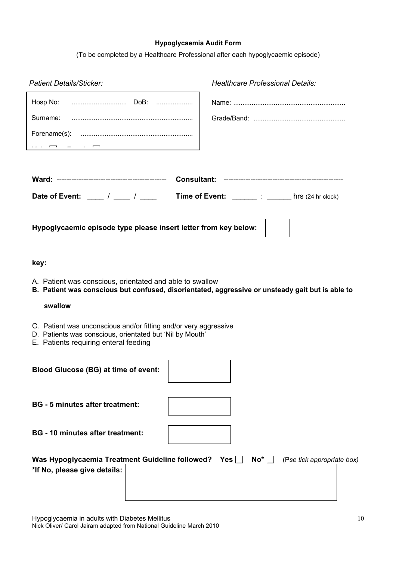#### Hypoglycaemia Audit Form

(To be completed by a Healthcare Professional after each hypoglycaemic episode)

| <b>Patient Details/Sticker:</b>                                                                                                                                       | <b>Healthcare Professional Details:</b>                                                          |
|-----------------------------------------------------------------------------------------------------------------------------------------------------------------------|--------------------------------------------------------------------------------------------------|
|                                                                                                                                                                       |                                                                                                  |
|                                                                                                                                                                       |                                                                                                  |
|                                                                                                                                                                       |                                                                                                  |
|                                                                                                                                                                       |                                                                                                  |
|                                                                                                                                                                       |                                                                                                  |
|                                                                                                                                                                       |                                                                                                  |
| Date of Event: ____ / ___ / ____                                                                                                                                      | Time of Event: _______: ______ hrs (24 hr clock)                                                 |
| Hypoglycaemic episode type please insert letter from key below:                                                                                                       |                                                                                                  |
| key:                                                                                                                                                                  |                                                                                                  |
| A. Patient was conscious, orientated and able to swallow                                                                                                              | B. Patient was conscious but confused, disorientated, aggressive or unsteady gait but is able to |
| swallow                                                                                                                                                               |                                                                                                  |
| C. Patient was unconscious and/or fitting and/or very aggressive<br>D. Patients was conscious, orientated but 'Nil by Mouth'<br>E. Patients requiring enteral feeding |                                                                                                  |
| <b>Blood Glucose (BG) at time of event:</b>                                                                                                                           |                                                                                                  |
| <b>BG</b> - 5 minutes after treatment:                                                                                                                                |                                                                                                  |
| <b>BG</b> - 10 minutes after treatment:                                                                                                                               |                                                                                                  |
| Was Hypoglycaemia Treatment Guideline followed?<br>*If No, please give details:                                                                                       | Yes<br>No <sup>*</sup><br>(Pse tick appropriate box)                                             |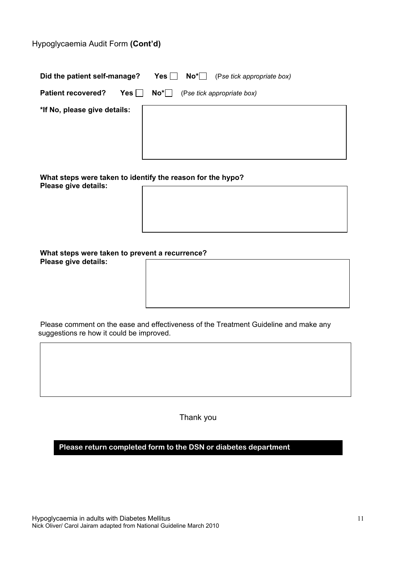# Hypoglycaemia Audit Form (Cont'd)

| Did the patient self-manage? | $\mathsf{No*}$ (Pse tick appropriate box)<br>Yes |
|------------------------------|--------------------------------------------------|
| <b>Patient recovered?</b>    | $Yes \tN$<br>(Pse tick appropriate box)          |
| *If No, please give details: |                                                  |

 What steps were taken to identify the reason for the hypo? Please give details:

| What steps were taken to prevent a recurrence? |  |
|------------------------------------------------|--|
| Please give details:                           |  |

 Please comment on the ease and effectiveness of the Treatment Guideline and make any suggestions re how it could be improved.

Thank you

**Please return completed form to the DSN or diabetes department**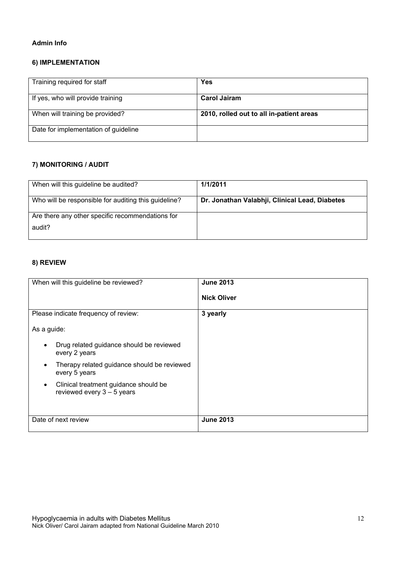#### Admin Info

#### 6) IMPLEMENTATION

| Training required for staff          | <b>Yes</b>                               |
|--------------------------------------|------------------------------------------|
| If yes, who will provide training    | <b>Carol Jairam</b>                      |
| When will training be provided?      | 2010, rolled out to all in-patient areas |
| Date for implementation of guideline |                                          |

# 7) MONITORING / AUDIT

| When will this guideline be audited?                 | 1/1/2011                                       |
|------------------------------------------------------|------------------------------------------------|
| Who will be responsible for auditing this guideline? | Dr. Jonathan Valabhji, Clinical Lead, Diabetes |
| Are there any other specific recommendations for     |                                                |
| audit?                                               |                                                |

#### 8) REVIEW

| When will this guideline be reviewed?                    | <b>June 2013</b>   |
|----------------------------------------------------------|--------------------|
|                                                          |                    |
|                                                          |                    |
|                                                          | <b>Nick Oliver</b> |
|                                                          |                    |
| Please indicate frequency of review:                     | 3 yearly           |
|                                                          |                    |
| As a guide:                                              |                    |
|                                                          |                    |
| Drug related guidance should be reviewed<br>$\bullet$    |                    |
| every 2 years                                            |                    |
|                                                          |                    |
| Therapy related guidance should be reviewed<br>$\bullet$ |                    |
| every 5 years                                            |                    |
|                                                          |                    |
| Clinical treatment guidance should be<br>$\bullet$       |                    |
| reviewed every $3 - 5$ years                             |                    |
|                                                          |                    |
|                                                          |                    |
|                                                          |                    |
| Date of next review                                      | <b>June 2013</b>   |
|                                                          |                    |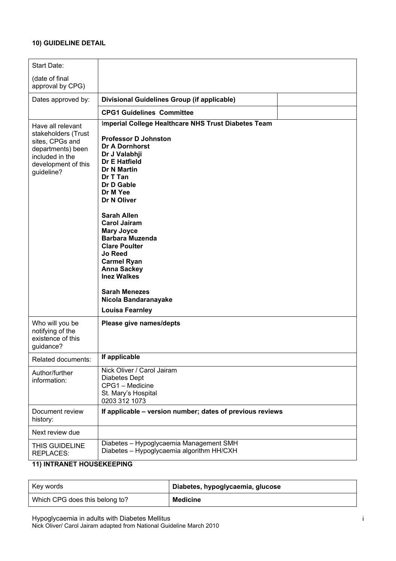#### 10) GUIDELINE DETAIL

| Start Date:                                                                                                                              |                                                                                                                                                                                                                                                                                                                                                                                                                                                                                                            |
|------------------------------------------------------------------------------------------------------------------------------------------|------------------------------------------------------------------------------------------------------------------------------------------------------------------------------------------------------------------------------------------------------------------------------------------------------------------------------------------------------------------------------------------------------------------------------------------------------------------------------------------------------------|
| (date of final<br>approval by CPG)                                                                                                       |                                                                                                                                                                                                                                                                                                                                                                                                                                                                                                            |
| Dates approved by:                                                                                                                       | Divisional Guidelines Group (if applicable)                                                                                                                                                                                                                                                                                                                                                                                                                                                                |
|                                                                                                                                          | <b>CPG1 Guidelines Committee</b>                                                                                                                                                                                                                                                                                                                                                                                                                                                                           |
| Have all relevant<br>stakeholders (Trust<br>sites, CPGs and<br>departments) been<br>included in the<br>development of this<br>guideline? | Imperial College Healthcare NHS Trust Diabetes Team<br><b>Professor D Johnston</b><br><b>Dr A Dornhorst</b><br>Dr J Valabhji<br>Dr E Hatfield<br><b>Dr N Martin</b><br>Dr T Tan<br>Dr D Gable<br>Dr M Yee<br>Dr N Oliver<br><b>Sarah Allen</b><br><b>Carol Jairam</b><br><b>Mary Joyce</b><br><b>Barbara Muzenda</b><br><b>Clare Poulter</b><br><b>Jo Reed</b><br><b>Carmel Ryan</b><br><b>Anna Sackey</b><br><b>Inez Walkes</b><br><b>Sarah Menezes</b><br>Nicola Bandaranayake<br><b>Louisa Fearnley</b> |
| Who will you be<br>notifying of the<br>existence of this<br>guidance?                                                                    | Please give names/depts                                                                                                                                                                                                                                                                                                                                                                                                                                                                                    |
| Related documents:                                                                                                                       | If applicable                                                                                                                                                                                                                                                                                                                                                                                                                                                                                              |
| Author/further<br>information:                                                                                                           | Nick Oliver / Carol Jairam<br>Diabetes Dept<br>CPG1 - Medicine<br>St. Mary's Hospital<br>0203 312 1073                                                                                                                                                                                                                                                                                                                                                                                                     |
| Document review<br>history:                                                                                                              | If applicable - version number; dates of previous reviews                                                                                                                                                                                                                                                                                                                                                                                                                                                  |
| Next review due                                                                                                                          |                                                                                                                                                                                                                                                                                                                                                                                                                                                                                                            |
| THIS GUIDELINE<br><b>REPLACES:</b>                                                                                                       | Diabetes - Hypoglycaemia Management SMH<br>Diabetes - Hypoglycaemia algorithm HH/CXH                                                                                                                                                                                                                                                                                                                                                                                                                       |

# 11) INTRANET HOUSEKEEPING

| Key words                      | Diabetes, hypoglycaemia, glucose |
|--------------------------------|----------------------------------|
| Which CPG does this belong to? | <b>Medicine</b>                  |

Hypoglycaemia in adults with Diabetes Mellitus Nick Oliver/ Carol Jairam adapted from National Guideline March 2010